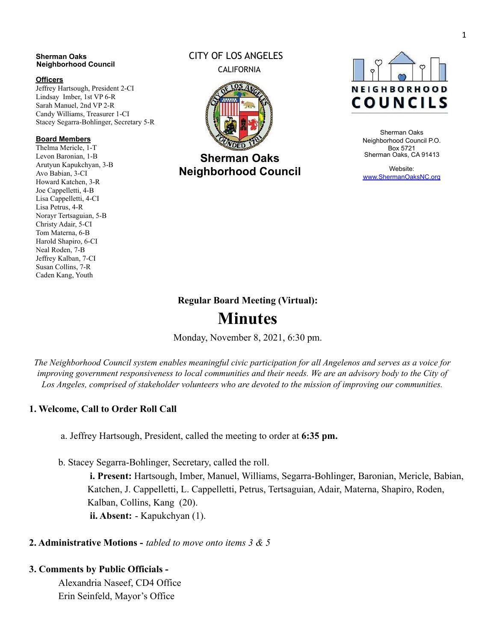#### **Sherman Oaks Neighborhood Council**

#### **Officers**

Jeffrey Hartsough, President 2-CI Lindsay Imber, 1st VP 6-R Sarah Manuel, 2nd VP 2-R Candy Williams, Treasurer 1-CI Stacey Segarra-Bohlinger, Secretary 5-R

#### **Board Members**

Thelma Mericle, 1-T Levon Baronian, 1-B Arutyun Kapukchyan, 3-B Avo Babian, 3-CI Howard Katchen, 3-R Joe Cappelletti, 4-B Lisa Cappelletti, 4-CI Lisa Petrus, 4-R Norayr Tertsaguian, 5-B Christy Adair, 5-CI Tom Materna, 6-B Harold Shapiro, 6-CI Neal Roden, 7-B Jeffrey Kalban, 7-CI Susan Collins, 7-R Caden Kang, Youth

#### CITY OF LOS ANGELES CALIFORNIA



**Sherman Oaks Neighborhood Council**



Sherman Oaks Neighborhood Council P.O. Box 5721 Sherman Oaks, CA 91413

Website: [www.ShermanOaksNC.org](http://www.shermanoaksnc.org/)

#### **Regular Board Meeting (Virtual):**

# **Minutes**

Monday, November 8, 2021, 6:30 pm.

The Neighborhood Council system enables meaningful civic participation for all Angelenos and serves as a voice for improving government responsiveness to local communities and their needs. We are an advisory body to the City of *Los Angeles, comprised of stakeholder volunteers who are devoted to the mission of improving our communities.*

#### **1. Welcome, Call to Order Roll Call**

a. Jeffrey Hartsough, President, called the meeting to order at **6:35 pm.**

b. Stacey Segarra-Bohlinger, Secretary, called the roll.

**i. Present:** Hartsough, Imber, Manuel, Williams, Segarra-Bohlinger, Baronian, Mericle, Babian, Katchen, J. Cappelletti, L. Cappelletti, Petrus, Tertsaguian, Adair, Materna, Shapiro, Roden, Kalban, Collins, Kang (20).

**ii. Absent:** - Kapukchyan (1).

#### **2. Administrative Motions -** *tabled to move onto items 3 & 5*

#### **3. Comments by Public Officials -**

Alexandria Naseef, CD4 Office Erin Seinfeld, Mayor's Office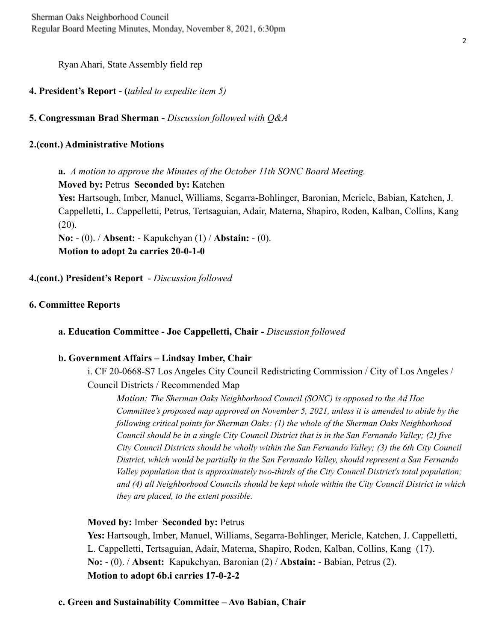Ryan Ahari, State Assembly field rep

### **4. President's Report - (***tabled to expedite item 5)*

**5. Congressman Brad Sherman -** *Discussion followed with Q&A*

### **2.(cont.) Administrative Motions**

**a.** *A motion to approve the Minutes of the October 11th SONC Board Meeting.*

**Moved by:** Petrus **Seconded by:** Katchen

**Yes:** Hartsough, Imber, Manuel, Williams, Segarra-Bohlinger, Baronian, Mericle, Babian, Katchen, J. Cappelletti, L. Cappelletti, Petrus, Tertsaguian, Adair, Materna, Shapiro, Roden, Kalban, Collins, Kang  $(20)$ .

**No:** - (0). / **Absent:** - Kapukchyan (1) / **Abstain:** - (0). **Motion to adopt 2a carries 20-0-1-0**

**4.(cont.) President's Report** - *Discussion followed*

## **6. Committee Reports**

**a. Education Committee - Joe Cappelletti, Chair -** *Discussion followed*

#### **b. Government Affairs – Lindsay Imber, Chair**

i. CF 20-0668-S7 Los Angeles City Council Redistricting Commission / City of Los Angeles / Council Districts / Recommended Map

*Motion: The Sherman Oaks Neighborhood Council (SONC) is opposed to the Ad Hoc Committee's proposed map approved on November 5, 2021, unless it is amended to abide by the following critical points for Sherman Oaks: (1) the whole of the Sherman Oaks Neighborhood Council should be in a single City Council District that is in the San Fernando Valley; (2) five City Council Districts should be wholly within the San Fernando Valley; (3) the 6th City Council District, which would be partially in the San Fernando Valley, should represent a San Fernando Valley population that is approximately two-thirds of the City Council District's total population; and (4) all Neighborhood Councils should be kept whole within the City Council District in which they are placed, to the extent possible.*

#### **Moved by:** Imber **Seconded by:** Petrus

**Yes:** Hartsough, Imber, Manuel, Williams, Segarra-Bohlinger, Mericle, Katchen, J. Cappelletti, L. Cappelletti, Tertsaguian, Adair, Materna, Shapiro, Roden, Kalban, Collins, Kang (17). **No:** - (0). / **Absent:** Kapukchyan, Baronian (2) / **Abstain:** - Babian, Petrus (2). **Motion to adopt 6b.i carries 17-0-2-2**

#### **c. Green and Sustainability Committee – Avo Babian, Chair**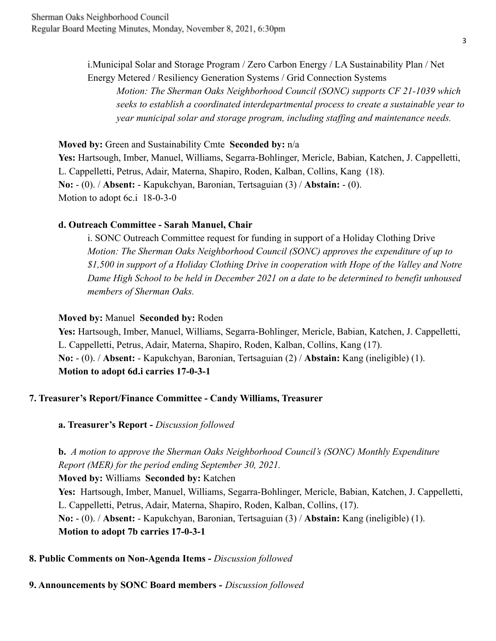i.Municipal Solar and Storage Program / Zero Carbon Energy / LA Sustainability Plan / Net Energy Metered / Resiliency Generation Systems / Grid Connection Systems

*Motion: The Sherman Oaks Neighborhood Council (SONC) supports CF 21-1039 which seeks to establish a coordinated interdepartmental process to create a sustainable year to year municipal solar and storage program, including staffing and maintenance needs.*

#### **Moved by:** Green and Sustainability Cmte **Seconded by:** n/a

**Yes:** Hartsough, Imber, Manuel, Williams, Segarra-Bohlinger, Mericle, Babian, Katchen, J. Cappelletti, L. Cappelletti, Petrus, Adair, Materna, Shapiro, Roden, Kalban, Collins, Kang (18). **No:** - (0). / **Absent:** - Kapukchyan, Baronian, Tertsaguian (3) / **Abstain:** - (0). Motion to adopt 6c.i 18-0-3-0

#### **d. Outreach Committee - Sarah Manuel, Chair**

i. SONC Outreach Committee request for funding in support of a Holiday Clothing Drive *Motion: The Sherman Oaks Neighborhood Council (SONC) approves the expenditure of up to \$1,500 in support of a Holiday Clothing Drive in cooperation with Hope of the Valley and Notre Dame High School to be held in December 2021 on a date to be determined to benefit unhoused members of Sherman Oaks.*

#### **Moved by:** Manuel **Seconded by:** Roden

**Yes:** Hartsough, Imber, Manuel, Williams, Segarra-Bohlinger, Mericle, Babian, Katchen, J. Cappelletti, L. Cappelletti, Petrus, Adair, Materna, Shapiro, Roden, Kalban, Collins, Kang (17). **No:** - (0). / **Absent:** - Kapukchyan, Baronian, Tertsaguian (2) / **Abstain:** Kang (ineligible) (1). **Motion to adopt 6d.i carries 17-0-3-1**

## **7. Treasurer's Report/Finance Committee - Candy Williams, Treasurer**

**a. Treasurer's Report -** *Discussion followed*

# **b.** *A motion to approve the Sherman Oaks Neighborhood Council's (SONC) Monthly Expenditure Report (MER) for the period ending September 30, 2021.*

**Moved by:** Williams **Seconded by:** Katchen **Yes:** Hartsough, Imber, Manuel, Williams, Segarra-Bohlinger, Mericle, Babian, Katchen, J. Cappelletti, L. Cappelletti, Petrus, Adair, Materna, Shapiro, Roden, Kalban, Collins, (17). **No:** - (0). / **Absent:** - Kapukchyan, Baronian, Tertsaguian (3) / **Abstain:** Kang (ineligible) (1). **Motion to adopt 7b carries 17-0-3-1**

#### **8. Public Comments on Non-Agenda Items -** *Discussion followed*

## **9. Announcements by SONC Board members -** *Discussion followed*